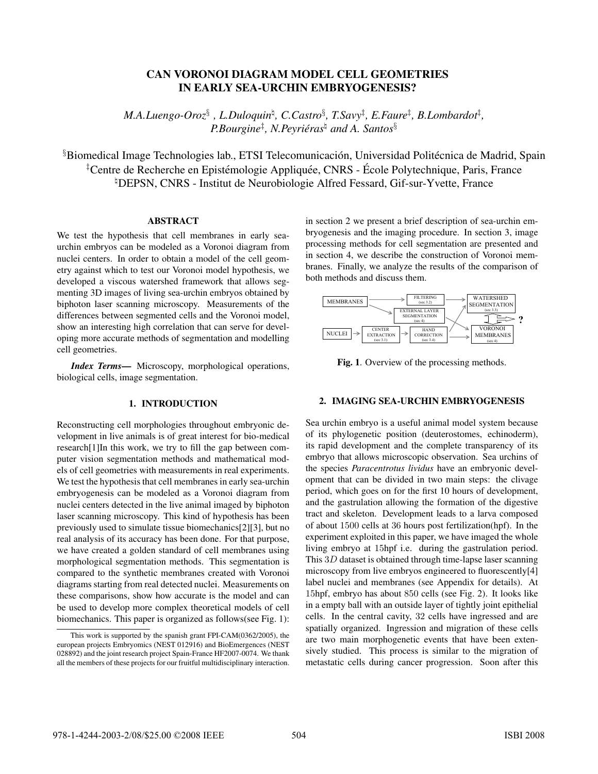# CAN VORONOI DIAGRAM MODEL CELL GEOMETRIES IN EARLY SEA-URCHIN EMBRYOGENESIS?

 $M.A.Luengo-Oroz$ §,  $L.Duloquin$ <sup>†</sup>,  $C.Castro$ §,  $T.Savy$ <sup>‡</sup>,  $E.Faure$ <sup>‡</sup>,  $B.Lombardot$ <sup>‡</sup>, *P.Bourgine*‡ *, N.Peyrieras ´* - *and A. Santos*§

 $\S$ Biomedical Image Technologies lab., ETSI Telecomunicación, Universidad Politécnica de Madrid, Spain <sup>‡</sup>Centre de Recherche en Epistémologie Appliquée, CNRS - École Polytechnique, Paris, France <sup>h</sup>DEPSN, CNRS - Institut de Neurobiologie Alfred Fessard, Gif-sur-Yvette, France

# ABSTRACT

We test the hypothesis that cell membranes in early seaurchin embryos can be modeled as a Voronoi diagram from nuclei centers. In order to obtain a model of the cell geometry against which to test our Voronoi model hypothesis, we developed a viscous watershed framework that allows segmenting 3D images of living sea-urchin embryos obtained by biphoton laser scanning microscopy. Measurements of the differences between segmented cells and the Voronoi model, show an interesting high correlation that can serve for developing more accurate methods of segmentation and modelling cell geometries.

*Index Terms*— Microscopy, morphological operations, biological cells, image segmentation.

## 1. INTRODUCTION

Reconstructing cell morphologies throughout embryonic development in live animals is of great interest for bio-medical research[1]In this work, we try to fill the gap between computer vision segmentation methods and mathematical models of cell geometries with measurements in real experiments. We test the hypothesis that cell membranes in early sea-urchin embryogenesis can be modeled as a Voronoi diagram from nuclei centers detected in the live animal imaged by biphoton laser scanning microscopy. This kind of hypothesis has been previously used to simulate tissue biomechanics[2][3], but no real analysis of its accuracy has been done. For that purpose, we have created a golden standard of cell membranes using morphological segmentation methods. This segmentation is compared to the synthetic membranes created with Voronoi diagrams starting from real detected nuclei. Measurements on these comparisons, show how accurate is the model and can be used to develop more complex theoretical models of cell biomechanics. This paper is organized as follows(see Fig. 1): in section 2 we present a brief description of sea-urchin embryogenesis and the imaging procedure. In section 3, image processing methods for cell segmentation are presented and in section 4, we describe the construction of Voronoi membranes. Finally, we analyze the results of the comparison of both methods and discuss them.



Fig. 1. Overview of the processing methods.

#### 2. IMAGING SEA-URCHIN EMBRYOGENESIS

Sea urchin embryo is a useful animal model system because of its phylogenetic position (deuterostomes, echinoderm), its rapid development and the complete transparency of its embryo that allows microscopic observation. Sea urchins of the species *Paracentrotus lividus* have an embryonic development that can be divided in two main steps: the clivage period, which goes on for the first 10 hours of development, and the gastrulation allowing the formation of the digestive tract and skeleton. Development leads to a larva composed of about 1500 cells at 36 hours post fertilization(hpf). In the experiment exploited in this paper, we have imaged the whole living embryo at 15hpf i.e. during the gastrulation period. This <sup>3</sup>D dataset is obtained through time-lapse laser scanning microscopy from live embryos engineered to fluorescently[4] label nuclei and membranes (see Appendix for details). At 15hpf, embryo has about 850 cells (see Fig. 2). It looks like in a empty ball with an outside layer of tightly joint epithelial cells. In the central cavity, 32 cells have ingressed and are spatially organized. Ingression and migration of these cells are two main morphogenetic events that have been extensively studied. This process is similar to the migration of metastatic cells during cancer progression. Soon after this

This work is supported by the spanish grant FPI-CAM(0362/2005), the european projects Embryomics (NEST 012916) and BioEmergences (NEST 028892) and the joint research project Spain-France HF2007-0074. We thank all the members of these projects for our fruitful multidisciplinary interaction.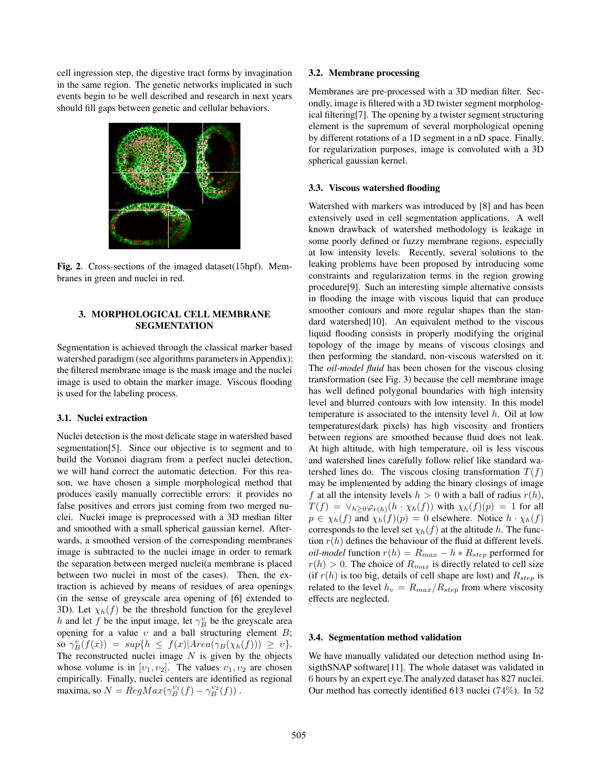cell ingression step, the digestive tract forms by invagination in the same region. The genetic networks implicated in such events begin to be well described and research in next years should fill gaps between genetic and cellular behaviors.



Fig. 2. Cross-sections of the imaged dataset(15hpf). Membranes in green and nuclei in red.

## 3. MORPHOLOGICAL CELL MEMBRANE SEGMENTATION

Segmentation is achieved through the classical marker based watershed paradigm (see algorithms parameters in Appendix): the filtered membrane image is the mask image and the nuclei image is used to obtain the marker image. Viscous flooding is used for the labeling process.

#### 3.1. Nuclei extraction

Nuclei detection is the most delicate stage in watershed based segmentation[5]. Since our objective is to segment and to build the Voronoi diagram from a perfect nuclei detection, we will hand correct the automatic detection. For this reason, we have chosen a simple morphological method that produces easily manually correctible errors: it provides no false positives and errors just coming from two merged nuclei. Nuclei image is preprocessed with a 3D median filter and smoothed with a small spherical gaussian kernel. Afterwards, a smoothed version of the corresponding membranes image is subtracted to the nuclei image in order to remark the separation between merged nuclei(a membrane is placed between two nuclei in most of the cases). Then, the extraction is achieved by means of residues of area openings (in the sense of greyscale area opening of [6] extended to 3D). Let  $\chi_h(f)$  be the threshold function for the greylevel h and let f be the input image, let  $\gamma_B^v$  be the greyscale area<br>opening for a value using a ball structuring element B: opening for a value  $v$  and a ball structuring element  $B$ ; so  $\gamma_B^v(f(x)) = \sup\{h \leq f(x)|Area(\gamma_B(\chi_h(f))) \geq v\}.$ <br>The reconstructed nuclei image N is given by the objects The reconstructed nuclei image  $N$  is given by the objects whose volume is in  $[v_1, v_2]$ . The values  $v_1, v_2$  are chosen empirically. Finally, nuclei centers are identified as regional maxima, so  $N = RegMax(\gamma_B^{v_1}(f) - \gamma_B^{v_2}(f))$ .

#### 3.2. Membrane processing

Membranes are pre-processed with a 3D median filter. Secondly, image is filtered with a 3D twister segment morphological filtering[7]. The opening by a twister segment structuring element is the supremum of several morphological opening by different rotations of a 1D segment in a nD space. Finally, for regularization purposes, image is convoluted with a 3D spherical gaussian kernel.

#### 3.3. Viscous watershed flooding

Watershed with markers was introduced by [8] and has been extensively used in cell segmentation applications. A well known drawback of watershed methodology is leakage in some poorly defined or fuzzy membrane regions, especially at low intensity levels. Recently, several solutions to the leaking problems have been proposed by introducing some constraints and regularization terms in the region growing procedure[9]. Such an interesting simple alternative consists in flooding the image with viscous liquid that can produce smoother contours and more regular shapes than the standard watershed<sup>[10]</sup>. An equivalent method to the viscous liquid flooding consists in properly modifying the original topology of the image by means of viscous closings and then performing the standard, non-viscous watershed on it. The *oil-model fluid* has been chosen for the viscous closing transformation (see Fig. 3) because the cell membrane image has well defined polygonal boundaries with high intensity level and blurred contours with low intensity. In this model temperature is associated to the intensity level  $h$ . Oil at low temperatures(dark pixels) has high viscosity and frontiers between regions are smoothed because fluid does not leak. At high altitude, with high temperature, oil is less viscous and watershed lines carefully follow relief like standard watershed lines do. The viscous closing transformation  $T(f)$ may be implemented by adding the binary closings of image f at all the intensity levels  $h > 0$  with a ball of radius  $r(h)$ ,  $T(f) = \vee_{h>0} \varphi_{r(h)}(h \cdot \chi_h(f))$  with  $\chi_h(f)(p) = 1$  for all  $p \in \chi_h(f)$  and  $\chi_h(f)(p)=0$  elsewhere. Notice  $h \cdot \chi_h(f)$ corresponds to the level set  $\chi_h(f)$  at the altitude h. The function  $r(h)$  defines the behaviour of the fluid at different levels. *oil-model* function  $r(h) = R_{max} - h * R_{step}$  performed for  $r(h) > 0$ . The choice of  $R_{max}$  is directly related to cell size (if  $r(h)$  is too big, details of cell shape are lost) and  $R_{step}$  is related to the level  $h_v = R_{max}/R_{step}$  from where viscosity effects are neglected.

#### 3.4. Segmentation method validation

We have manually validated our detection method using InsigthSNAP software[11]. The whole dataset was validated in 6 hours by an expert eye.The analyzed dataset has 827 nuclei. Our method has correctly identified 613 nuclei (74%). In 52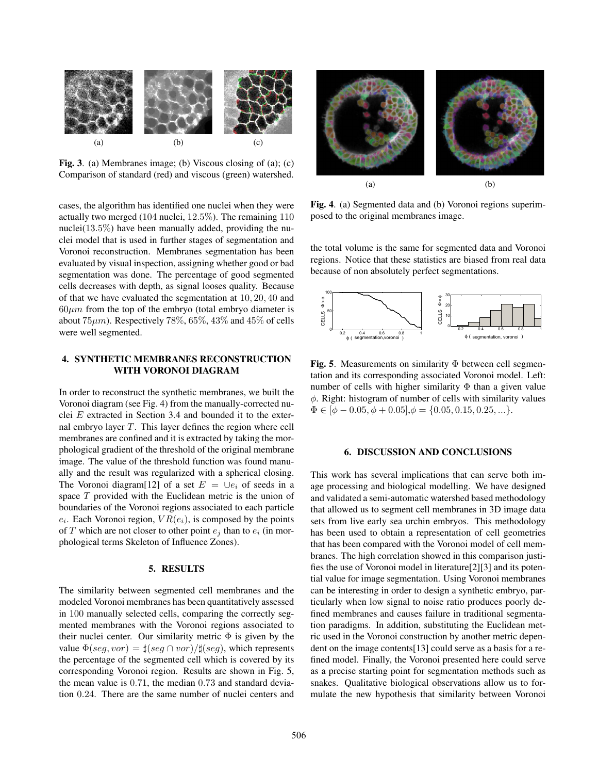

Fig. 3. (a) Membranes image; (b) Viscous closing of (a); (c) Comparison of standard (red) and viscous (green) watershed.

cases, the algorithm has identified one nuclei when they were actually two merged (<sup>104</sup> nuclei, <sup>12</sup>.5%). The remaining <sup>110</sup> nuclei $(13.5\%)$  have been manually added, providing the nuclei model that is used in further stages of segmentation and Voronoi reconstruction. Membranes segmentation has been evaluated by visual inspection, assigning whether good or bad segmentation was done. The percentage of good segmented cells decreases with depth, as signal looses quality. Because of that we have evaluated the segmentation at <sup>10</sup>, <sup>20</sup>, <sup>40</sup> and  $60 \mu m$  from the top of the embryo (total embryo diameter is about  $75\mu$ m). Respectively  $78\%$ ,  $65\%$ ,  $43\%$  and  $45\%$  of cells were well segmented.

# 4. SYNTHETIC MEMBRANES RECONSTRUCTION WITH VORONOI DIAGRAM

In order to reconstruct the synthetic membranes, we built the Voronoi diagram (see Fig. 4) from the manually-corrected nuclei E extracted in Section 3.4 and bounded it to the external embryo layer  $T$ . This layer defines the region where cell membranes are confined and it is extracted by taking the morphological gradient of the threshold of the original membrane image. The value of the threshold function was found manually and the result was regularized with a spherical closing. The Voronoi diagram[12] of a set  $E = \bigcup e_i$  of seeds in a space T provided with the Euclidean metric is the union of boundaries of the Voronoi regions associated to each particle  $e_i$ . Each Voronoi region,  $VR(e_i)$ , is composed by the points of T which are not closer to other point  $e_i$  than to  $e_i$  (in morphological terms Skeleton of Influence Zones).

#### 5. RESULTS

The similarity between segmented cell membranes and the modeled Voronoi membranes has been quantitatively assessed in 100 manually selected cells, comparing the correctly segmented membranes with the Voronoi regions associated to their nuclei center. Our similarity metric  $\Phi$  is given by the value  $\Phi(\text{seg}, \text{vor}) = \frac{\mu}{\phi}(\text{seg} \cap \text{vor})/\frac{\mu}{\phi}(\text{seg})$ , which represents the percentage of the segmented cell which is covered by its corresponding Voronoi region. Results are shown in Fig. 5, the mean value is <sup>0</sup>.71, the median <sup>0</sup>.<sup>73</sup> and standard deviation <sup>0</sup>.24. There are the same number of nuclei centers and



Fig. 4. (a) Segmented data and (b) Voronoi regions superimposed to the original membranes image.

the total volume is the same for segmented data and Voronoi regions. Notice that these statistics are biased from real data because of non absolutely perfect segmentations.



Fig. 5. Measurements on similarity  $\Phi$  between cell segmentation and its corresponding associated Voronoi model. Left: number of cells with higher similarity  $\Phi$  than a given value  $\phi$ . Right: histogram of number of cells with similarity values  $\Phi \in [\phi - 0.05, \phi + 0.05], \phi = \{0.05, 0.15, 0.25, \ldots\}.$ 

## 6. DISCUSSION AND CONCLUSIONS

This work has several implications that can serve both image processing and biological modelling. We have designed and validated a semi-automatic watershed based methodology that allowed us to segment cell membranes in 3D image data sets from live early sea urchin embryos. This methodology has been used to obtain a representation of cell geometries that has been compared with the Voronoi model of cell membranes. The high correlation showed in this comparison justifies the use of Voronoi model in literature[2][3] and its potential value for image segmentation. Using Voronoi membranes can be interesting in order to design a synthetic embryo, particularly when low signal to noise ratio produces poorly defined membranes and causes failure in traditional segmentation paradigms. In addition, substituting the Euclidean metric used in the Voronoi construction by another metric dependent on the image contents[13] could serve as a basis for a refined model. Finally, the Voronoi presented here could serve as a precise starting point for segmentation methods such as snakes. Qualitative biological observations allow us to formulate the new hypothesis that similarity between Voronoi